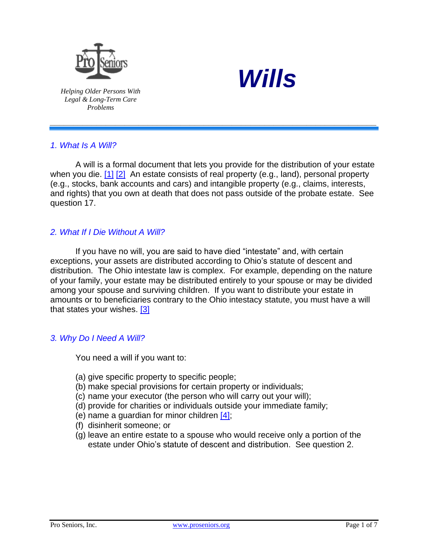



*Helping Older Persons With Legal & Long-Term Care Problems*

# *1. What Is A Will?*

<span id="page-0-1"></span><span id="page-0-0"></span>A will is a formal document that lets you provide for the distribution of your estate when you die. [\[1\]](#page-4-0) [\[2\]](#page-4-1) An estate consists of real property (e.g., land), personal property (e.g., stocks, bank accounts and cars) and intangible property (e.g., claims, interests, and rights) that you own at death that does not pass outside of the probate estate. See question 17.

*\_\_\_\_\_\_\_\_\_\_\_\_\_\_\_\_\_\_\_\_\_\_\_\_\_\_\_\_\_\_\_\_\_\_\_\_\_\_\_\_\_\_\_\_\_\_\_\_\_\_\_\_\_\_\_\_\_\_\_\_\_\_\_\_\_\_\_\_\_\_*

# *2. What If I Die Without A Will?*

If you have no will, you are said to have died "intestate" and, with certain exceptions, your assets are distributed according to Ohio's statute of descent and distribution. The Ohio intestate law is complex. For example, depending on the nature of your family, your estate may be distributed entirely to your spouse or may be divided among your spouse and surviving children. If you want to distribute your estate in amounts or to beneficiaries contrary to the Ohio intestacy statute, you must have a will that states your wishes. [\[3\]](#page-4-2)

## *3. Why Do I Need A Will?*

<span id="page-0-2"></span>You need a will if you want to:

- (a) give specific property to specific people;
- (b) make special provisions for certain property or individuals;
- (c) name your executor (the person who will carry out your will);
- (d) provide for charities or individuals outside your immediate family;
- <span id="page-0-3"></span>(e) name a guardian for minor children [\[4\];](#page-4-3)
- (f) disinherit someone; or
- (g) leave an entire estate to a spouse who would receive only a portion of the estate under Ohio's statute of descent and distribution. See question 2.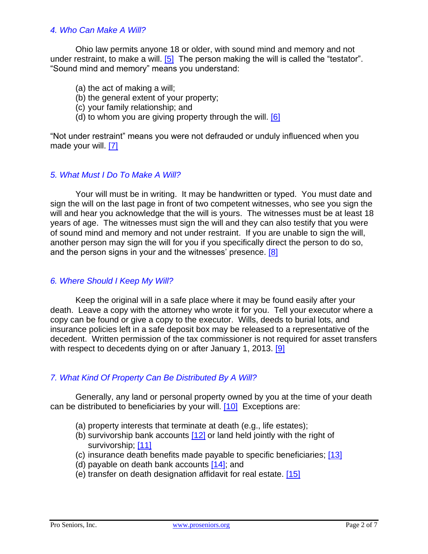#### *4. Who Can Make A Will?*

Ohio law permits anyone 18 or older, with sound mind and memory and not under restraint, to make a will.  $[5]$  The person making the will is called the "testator". "Sound mind and memory" means you understand:

- <span id="page-1-0"></span>(a) the act of making a will;
- (b) the general extent of your property;
- (c) your family relationship; and
- <span id="page-1-2"></span><span id="page-1-1"></span>(d) to whom you are giving property through the will.  $[6]$

"Not under restraint" means you were not defrauded or unduly influenced when you made your will. [\[7\]](#page-5-0)

#### *5. What Must I Do To Make A Will?*

Your will must be in writing. It may be handwritten or typed. You must date and sign the will on the last page in front of two competent witnesses, who see you sign the will and hear you acknowledge that the will is yours. The witnesses must be at least 18 years of age. The witnesses must sign the will and they can also testify that you were of sound mind and memory and not under restraint. If you are unable to sign the will, another person may sign the will for you if you specifically direct the person to do so, and the person signs in your and the witnesses' presence. [\[8\]](#page-5-1)

#### <span id="page-1-3"></span>*6. Where Should I Keep My Will?*

Keep the original will in a safe place where it may be found easily after your death. Leave a copy with the attorney who wrote it for you. Tell your executor where a copy can be found or give a copy to the executor. Wills, deeds to burial lots, and insurance policies left in a safe deposit box may be released to a representative of the decedent. Written permission of the tax commissioner is not required for asset transfers with respect to decedents dying on or after January 1, 2013. [\[9\]](#page-5-2)

## *7. What Kind Of Property Can Be Distributed By A Will?*

Generally, any land or personal property owned by you at the time of your death can be distributed to beneficiaries by your will. [\[10\]](#page-5-3) Exceptions are:

- <span id="page-1-5"></span><span id="page-1-4"></span>(a) property interests that terminate at death (e.g., life estates);
- <span id="page-1-7"></span><span id="page-1-6"></span>(b) survivorship bank accounts  $[12]$  or land held jointly with the right of survivorship; [\[11\]](#page-5-5)
- <span id="page-1-8"></span>(c) insurance death benefits made payable to specific beneficiaries; [\[13\]](#page-5-6)
- <span id="page-1-9"></span>(d) payable on death bank accounts  $[14]$ ; and
- <span id="page-1-10"></span>(e) transfer on death designation affidavit for real estate. [\[15\]](#page-5-8)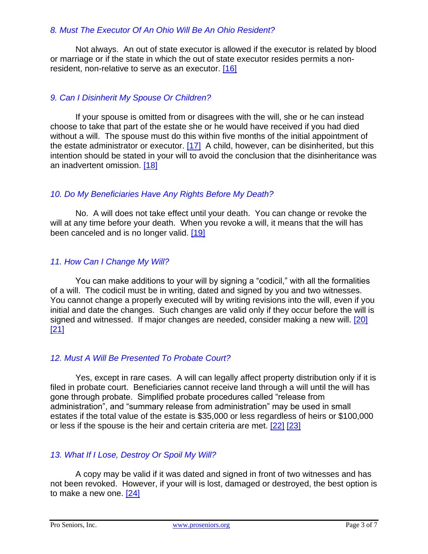## *8. Must The Executor Of An Ohio Will Be An Ohio Resident?*

<span id="page-2-0"></span>Not always. An out of state executor is allowed if the executor is related by blood or marriage or if the state in which the out of state executor resides permits a nonresident, non-relative to serve as an executor. [\[16\]](#page-5-9)

## *9. Can I Disinherit My Spouse Or Children?*

<span id="page-2-1"></span>If your spouse is omitted from or disagrees with the will, she or he can instead choose to take that part of the estate she or he would have received if you had died without a will. The spouse must do this within five months of the initial appointment of the estate administrator or executor. [\[17\]](#page-5-10) A child, however, can be disinherited, but this intention should be stated in your will to avoid the conclusion that the disinheritance was an inadvertent omission. [\[18\]](#page-5-11)

## <span id="page-2-2"></span>*10. Do My Beneficiaries Have Any Rights Before My Death?*

<span id="page-2-3"></span>No. A will does not take effect until your death. You can change or revoke the will at any time before your death. When you revoke a will, it means that the will has been canceled and is no longer valid. [19]

# *11. How Can I Change My Will?*

You can make additions to your will by signing a "codicil," with all the formalities of a will. The codicil must be in writing, dated and signed by you and two witnesses. You cannot change a properly executed will by writing revisions into the will, even if you initial and date the changes. Such changes are valid only if they occur before the will is signed and witnessed. If major changes are needed, consider making a new will. [\[20\]](#page-5-13) [\[21\]](#page-6-0)

## <span id="page-2-5"></span><span id="page-2-4"></span>*12. Must A Will Be Presented To Probate Court?*

Yes, except in rare cases. A will can legally affect property distribution only if it is filed in probate court. Beneficiaries cannot receive land through a will until the will has gone through probate. Simplified probate procedures called "release from administration", and "summary release from administration" may be used in small estates if the total value of the estate is \$35,000 or less regardless of heirs or \$100,000 or less if the spouse is the heir and certain criteria are met. [\[22\]](#page-6-1) [\[23\]](#page-6-2) 

## <span id="page-2-7"></span><span id="page-2-6"></span>*13. What If I Lose, Destroy Or Spoil My Will?*

<span id="page-2-8"></span>A copy may be valid if it was dated and signed in front of two witnesses and has not been revoked. However, if your will is lost, damaged or destroyed, the best option is to make a new one. [\[24\]](#page-6-3)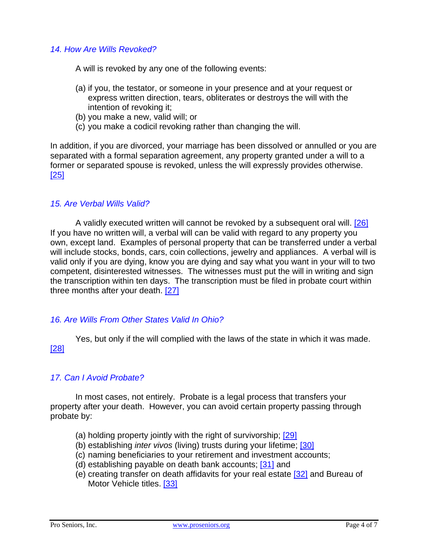#### *14. How Are Wills Revoked?*

A will is revoked by any one of the following events:

- (a) if you, the testator, or someone in your presence and at your request or express written direction, tears, obliterates or destroys the will with the intention of revoking it;
- (b) you make a new, valid will; or
- <span id="page-3-1"></span>(c) you make a codicil revoking rather than changing the will.

<span id="page-3-0"></span>In addition, if you are divorced, your marriage has been dissolved or annulled or you are separated with a formal separation agreement, any property granted under a will to a former or separated spouse is revoked, unless the will expressly provides otherwise. [\[25\]](#page-6-4)

#### *15. Are Verbal Wills Valid?*

A validly executed written will cannot be revoked by a subsequent oral will. [\[26\]](#page-6-4) If you have no written will, a verbal will can be valid with regard to any property you own, except land. Examples of personal property that can be transferred under a verbal will include stocks, bonds, cars, coin collections, jewelry and appliances. A verbal will is valid only if you are dying, know you are dying and say what you want in your will to two competent, disinterested witnesses. The witnesses must put the will in writing and sign the transcription within ten days. The transcription must be filed in probate court within three months after your death. [\[27\]](#page-6-5)

#### <span id="page-3-2"></span>*16. Are Wills From Other States Valid In Ohio?*

<span id="page-3-3"></span>Yes, but only if the will complied with the laws of the state in which it was made. [\[28\]](#page-6-5)

#### *17. Can I Avoid Probate?*

In most cases, not entirely. Probate is a legal process that transfers your property after your death. However, you can avoid certain property passing through probate by:

- (a) holding property jointly with the right of survivorship; [\[29\]](#page-6-6)
- <span id="page-3-5"></span><span id="page-3-4"></span>(b) establishing *inter vivos* (living) trusts during your lifetime; [\[30\]](#page-6-7)
- (c) naming beneficiaries to your retirement and investment accounts;
- <span id="page-3-7"></span><span id="page-3-6"></span>(d) establishing payable on death bank accounts; [\[31\]](#page-6-8) and
- <span id="page-3-8"></span>(e) creating transfer on death affidavits for your real estate [\[32\]](#page-6-9) and Bureau of Motor Vehicle titles. [\[33\]](#page-6-10)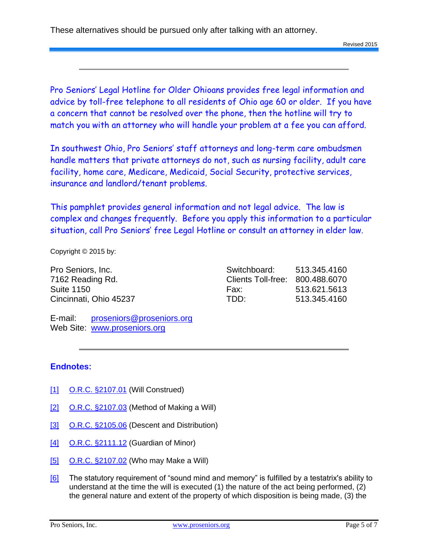These alternatives should be pursued only after talking with an attorney.

Pro Seniors' Legal Hotline for Older Ohioans provides free legal information and advice by toll-free telephone to all residents of Ohio age 60 or older. If you have a concern that cannot be resolved over the phone, then the hotline will try to match you with an attorney who will handle your problem at a fee you can afford.

In southwest Ohio, Pro Seniors' staff attorneys and long-term care ombudsmen handle matters that private attorneys do not, such as nursing facility, adult care facility, home care, Medicare, Medicaid, Social Security, protective services, insurance and landlord/tenant problems.

This pamphlet provides general information and not legal advice. The law is complex and changes frequently. Before you apply this information to a particular situation, call Pro Seniors' free Legal Hotline or consult an attorney in elder law.

Copyright © 2015 by:

Pro Seniors, Inc. 7162 Reading Rd. Suite 1150 Cincinnati, Ohio 45237

| Switchboard:       | 513.345.4160 |
|--------------------|--------------|
| Clients Toll-free: | 800.488.6070 |
| Fax:               | 513.621.5613 |
| TDD:               | 513.345.4160 |

E-mail: [proseniors@proseniors.org](mailto:proseniors@proseniors.org) Web Site: [www.proseniors.org](http://www.proseniors.org/)

## **Endnotes:**

- <span id="page-4-0"></span>[\[1\]](#page-0-0) [O.R.C. §2107.01](http://codes.ohio.gov/orc/2107.01) (Will Construed)
- <span id="page-4-1"></span>[\[2\]](#page-0-1) [O.R.C. §2107.03](http://codes.ohio.gov/orc/2107.03) (Method of Making a Will)
- <span id="page-4-2"></span>[\[3\]](#page-0-2) [O.R.C. §2105.06](http://codes.ohio.gov/orc/2105.06) (Descent and Distribution)
- <span id="page-4-3"></span>[\[4\]](#page-0-3) [O.R.C. §2111.12](http://codes.ohio.gov/orc/2111.12) (Guardian of Minor)
- <span id="page-4-4"></span>[\[5\]](#page-1-0) [O.R.C. §2107.02](http://codes.ohio.gov/orc/2107.02) (Who may Make a Will)
- <span id="page-4-5"></span>[\[6\]](#page-1-1) The statutory requirement of "sound mind and memory" is fulfilled by a testatrix's ability to understand at the time the will is executed (1) the nature of the act being performed, (2) the general nature and extent of the property of which disposition is being made, (3) the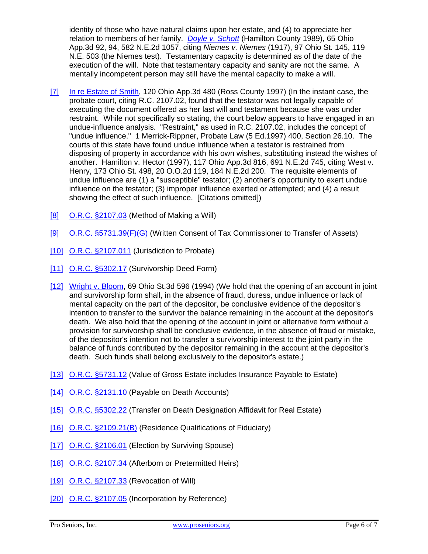identity of those who have natural claims upon her estate, and (4) to appreciate her relation to members of her family. *[Doyle v. Schott](https://casetext.com/case/doyle-v-schott)* (Hamilton County 1989), 65 Ohio App.3d 92, 94, 582 N.E.2d 1057, citing *Niemes v. Niemes* (1917), 97 Ohio St. 145, 119 N.E. 503 (the Niemes test). Testamentary capacity is determined as of the date of the execution of the will. Note that testamentary capacity and sanity are not the same. A mentally incompetent person may still have the mental capacity to make a will.

- <span id="page-5-0"></span>[\[7\]](#page-1-2) [In re Estate of Smith,](http://www.leagle.com/decision/1997600120OhioApp3d480_1554) 120 Ohio App.3d 480 (Ross County 1997) (In the instant case, the probate court, citing R.C. 2107.02, found that the testator was not legally capable of executing the document offered as her last will and testament because she was under restraint. While not specifically so stating, the court below appears to have engaged in an undue-influence analysis. "Restraint," as used in R.C. 2107.02, includes the concept of "undue influence." 1 Merrick-Rippner, Probate Law (5 Ed.1997) 400, Section 26.10. The courts of this state have found undue influence when a testator is restrained from disposing of property in accordance with his own wishes, substituting instead the wishes of another. Hamilton v. Hector (1997), 117 Ohio App.3d 816, 691 N.E.2d 745, citing West v. Henry, 173 Ohio St. 498, 20 O.O.2d 119, 184 N.E.2d 200. The requisite elements of undue influence are (1) a "susceptible" testator; (2) another's opportunity to exert undue influence on the testator; (3) improper influence exerted or attempted; and (4) a result showing the effect of such influence. [Citations omitted])
- <span id="page-5-1"></span>[\[8\]](#page-1-3) [O.R.C. §2107.03](http://codes.ohio.gov/orc/2107.03) (Method of Making a Will)
- <span id="page-5-2"></span>[\[9\]](#page-1-4) [O.R.C. §5731.39\(F\)\(G\)](http://codes.ohio.gov/orc/5731.39) (Written Consent of Tax Commissioner to Transfer of Assets)
- <span id="page-5-3"></span>[\[10\]](#page-1-5) [O.R.C. §2107.011](http://codes.ohio.gov/orc/2107.011) (Jurisdiction to Probate)
- <span id="page-5-5"></span>[\[11\]](#page-1-6) [O.R.C. §5302.17](http://codes.ohio.gov/orc/5302.17) (Survivorship Deed Form)
- <span id="page-5-4"></span>[\[12\]](#page-1-7) [Wright v. Bloom,](http://www.leagle.com/decision/199466569OhioSt3d596_1542.xml/WRIGHT%20v.%20BLOOM) 69 Ohio St.3d 596 (1994) (We hold that the opening of an account in joint and survivorship form shall, in the absence of fraud, duress, undue influence or lack of mental capacity on the part of the depositor, be conclusive evidence of the depositor's intention to transfer to the survivor the balance remaining in the account at the depositor's death. We also hold that the opening of the account in joint or alternative form without a provision for survivorship shall be conclusive evidence, in the absence of fraud or mistake, of the depositor's intention not to transfer a survivorship interest to the joint party in the balance of funds contributed by the depositor remaining in the account at the depositor's death. Such funds shall belong exclusively to the depositor's estate.)
- <span id="page-5-6"></span>[\[13\]](#page-1-8) [O.R.C. §5731.12](http://codes.ohio.gov/orc/5731.12) (Value of Gross Estate includes Insurance Payable to Estate)
- <span id="page-5-7"></span>[\[14\]](#page-1-9) [O.R.C. §2131.10](http://codes.ohio.gov/orc/2131.10) (Payable on Death Accounts)
- <span id="page-5-8"></span>[\[15\]](#page-1-10) [O.R.C. §5302.22](http://codes.ohio.gov/orc/5302.22) (Transfer on Death Designation Affidavit for Real Estate)
- <span id="page-5-9"></span>[\[16\]](#page-2-0) [O.R.C. §2109.21\(B\)](http://codes.ohio.gov/orc/2109.21) (Residence Qualifications of Fiduciary)
- <span id="page-5-10"></span>[\[17\]](#page-2-1) [O.R.C. §2106.01](http://codes.ohio.gov/orc/2106.01) (Election by Surviving Spouse)
- <span id="page-5-11"></span>[\[18\]](#page-2-2) [O.R.C. §2107.34](http://codes.ohio.gov/orc/2107.34) (Afterborn or Pretermitted Heirs)
- <span id="page-5-12"></span>[\[19\]](#page-2-3) [O.R.C. §2107.33](http://codes.ohio.gov/orc/2107.33) (Revocation of Will)
- <span id="page-5-13"></span>[\[20\]](#page-2-4) [O.R.C. §2107.05](http://codes.ohio.gov/orc/2107.05) (Incorporation by Reference)